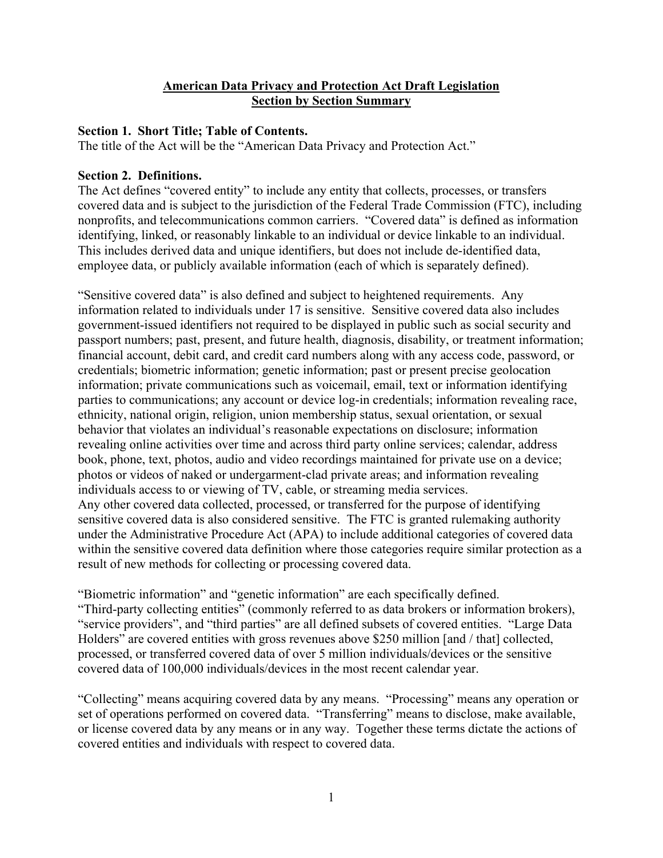### **American Data Privacy and Protection Act Draft Legislation Section by Section Summary**

### **Section 1. Short Title; Table of Contents.**

The title of the Act will be the "American Data Privacy and Protection Act."

### **Section 2. Definitions.**

The Act defines "covered entity" to include any entity that collects, processes, or transfers covered data and is subject to the jurisdiction of the Federal Trade Commission (FTC), including nonprofits, and telecommunications common carriers. "Covered data" is defined as information identifying, linked, or reasonably linkable to an individual or device linkable to an individual. This includes derived data and unique identifiers, but does not include de-identified data, employee data, or publicly available information (each of which is separately defined).

"Sensitive covered data" is also defined and subject to heightened requirements. Any information related to individuals under 17 is sensitive. Sensitive covered data also includes government-issued identifiers not required to be displayed in public such as social security and passport numbers; past, present, and future health, diagnosis, disability, or treatment information; financial account, debit card, and credit card numbers along with any access code, password, or credentials; biometric information; genetic information; past or present precise geolocation information; private communications such as voicemail, email, text or information identifying parties to communications; any account or device log-in credentials; information revealing race, ethnicity, national origin, religion, union membership status, sexual orientation, or sexual behavior that violates an individual's reasonable expectations on disclosure; information revealing online activities over time and across third party online services; calendar, address book, phone, text, photos, audio and video recordings maintained for private use on a device; photos or videos of naked or undergarment-clad private areas; and information revealing individuals access to or viewing of TV, cable, or streaming media services. Any other covered data collected, processed, or transferred for the purpose of identifying sensitive covered data is also considered sensitive. The FTC is granted rulemaking authority under the Administrative Procedure Act (APA) to include additional categories of covered data within the sensitive covered data definition where those categories require similar protection as a result of new methods for collecting or processing covered data.

"Biometric information" and "genetic information" are each specifically defined. "Third-party collecting entities" (commonly referred to as data brokers or information brokers), "service providers", and "third parties" are all defined subsets of covered entities. "Large Data Holders" are covered entities with gross revenues above \$250 million [and / that] collected, processed, or transferred covered data of over 5 million individuals/devices or the sensitive covered data of 100,000 individuals/devices in the most recent calendar year.

"Collecting" means acquiring covered data by any means. "Processing" means any operation or set of operations performed on covered data. "Transferring" means to disclose, make available, or license covered data by any means or in any way. Together these terms dictate the actions of covered entities and individuals with respect to covered data.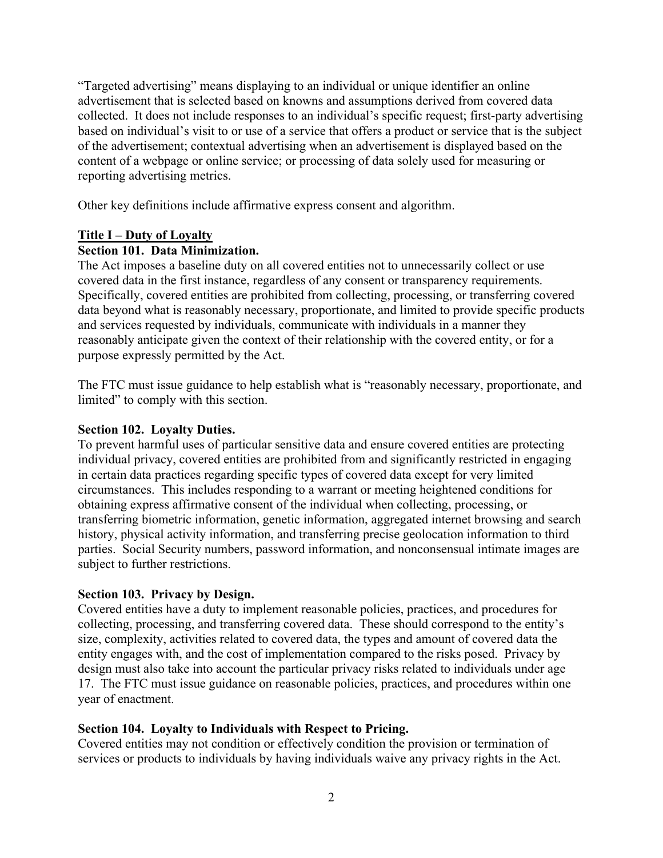"Targeted advertising" means displaying to an individual or unique identifier an online advertisement that is selected based on knowns and assumptions derived from covered data collected. It does not include responses to an individual's specific request; first-party advertising based on individual's visit to or use of a service that offers a product or service that is the subject of the advertisement; contextual advertising when an advertisement is displayed based on the content of a webpage or online service; or processing of data solely used for measuring or reporting advertising metrics.

Other key definitions include affirmative express consent and algorithm.

# **Title I – Duty of Loyalty**

# **Section 101. Data Minimization.**

The Act imposes a baseline duty on all covered entities not to unnecessarily collect or use covered data in the first instance, regardless of any consent or transparency requirements. Specifically, covered entities are prohibited from collecting, processing, or transferring covered data beyond what is reasonably necessary, proportionate, and limited to provide specific products and services requested by individuals, communicate with individuals in a manner they reasonably anticipate given the context of their relationship with the covered entity, or for a purpose expressly permitted by the Act.

The FTC must issue guidance to help establish what is "reasonably necessary, proportionate, and limited" to comply with this section.

# **Section 102. Loyalty Duties.**

To prevent harmful uses of particular sensitive data and ensure covered entities are protecting individual privacy, covered entities are prohibited from and significantly restricted in engaging in certain data practices regarding specific types of covered data except for very limited circumstances. This includes responding to a warrant or meeting heightened conditions for obtaining express affirmative consent of the individual when collecting, processing, or transferring biometric information, genetic information, aggregated internet browsing and search history, physical activity information, and transferring precise geolocation information to third parties. Social Security numbers, password information, and nonconsensual intimate images are subject to further restrictions.

# **Section 103. Privacy by Design.**

Covered entities have a duty to implement reasonable policies, practices, and procedures for collecting, processing, and transferring covered data. These should correspond to the entity's size, complexity, activities related to covered data, the types and amount of covered data the entity engages with, and the cost of implementation compared to the risks posed. Privacy by design must also take into account the particular privacy risks related to individuals under age 17. The FTC must issue guidance on reasonable policies, practices, and procedures within one year of enactment.

# **Section 104. Loyalty to Individuals with Respect to Pricing.**

Covered entities may not condition or effectively condition the provision or termination of services or products to individuals by having individuals waive any privacy rights in the Act.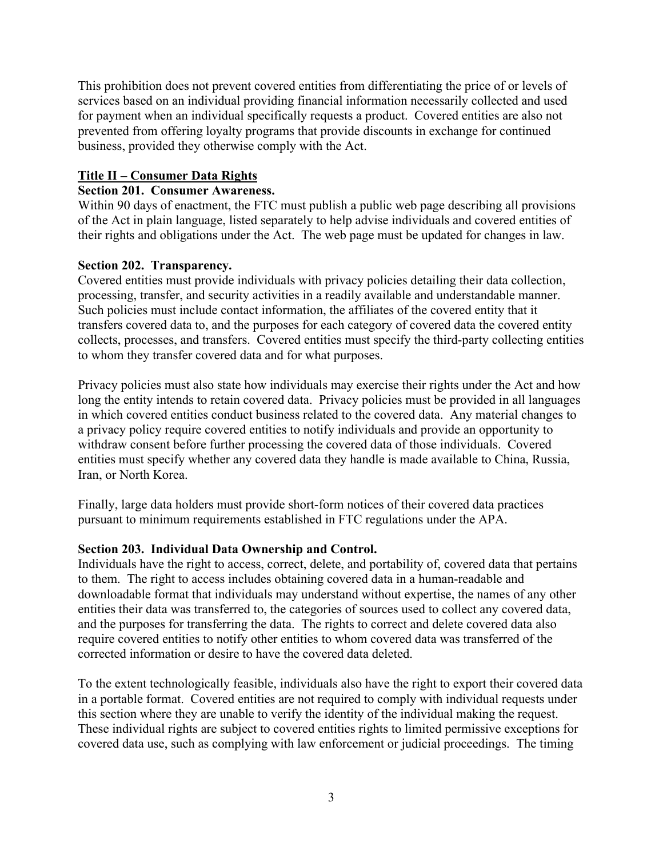This prohibition does not prevent covered entities from differentiating the price of or levels of services based on an individual providing financial information necessarily collected and used for payment when an individual specifically requests a product. Covered entities are also not prevented from offering loyalty programs that provide discounts in exchange for continued business, provided they otherwise comply with the Act.

## **Title II – Consumer Data Rights**

### **Section 201. Consumer Awareness.**

Within 90 days of enactment, the FTC must publish a public web page describing all provisions of the Act in plain language, listed separately to help advise individuals and covered entities of their rights and obligations under the Act. The web page must be updated for changes in law.

### **Section 202. Transparency.**

Covered entities must provide individuals with privacy policies detailing their data collection, processing, transfer, and security activities in a readily available and understandable manner. Such policies must include contact information, the affiliates of the covered entity that it transfers covered data to, and the purposes for each category of covered data the covered entity collects, processes, and transfers. Covered entities must specify the third-party collecting entities to whom they transfer covered data and for what purposes.

Privacy policies must also state how individuals may exercise their rights under the Act and how long the entity intends to retain covered data. Privacy policies must be provided in all languages in which covered entities conduct business related to the covered data. Any material changes to a privacy policy require covered entities to notify individuals and provide an opportunity to withdraw consent before further processing the covered data of those individuals. Covered entities must specify whether any covered data they handle is made available to China, Russia, Iran, or North Korea.

Finally, large data holders must provide short-form notices of their covered data practices pursuant to minimum requirements established in FTC regulations under the APA.

#### **Section 203. Individual Data Ownership and Control.**

Individuals have the right to access, correct, delete, and portability of, covered data that pertains to them. The right to access includes obtaining covered data in a human-readable and downloadable format that individuals may understand without expertise, the names of any other entities their data was transferred to, the categories of sources used to collect any covered data, and the purposes for transferring the data. The rights to correct and delete covered data also require covered entities to notify other entities to whom covered data was transferred of the corrected information or desire to have the covered data deleted.

To the extent technologically feasible, individuals also have the right to export their covered data in a portable format. Covered entities are not required to comply with individual requests under this section where they are unable to verify the identity of the individual making the request. These individual rights are subject to covered entities rights to limited permissive exceptions for covered data use, such as complying with law enforcement or judicial proceedings. The timing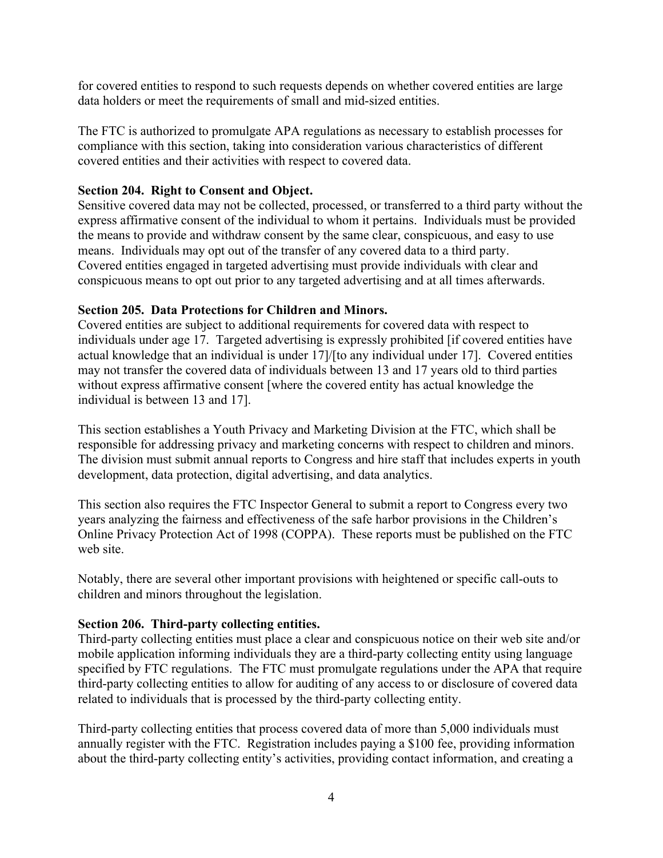for covered entities to respond to such requests depends on whether covered entities are large data holders or meet the requirements of small and mid-sized entities.

The FTC is authorized to promulgate APA regulations as necessary to establish processes for compliance with this section, taking into consideration various characteristics of different covered entities and their activities with respect to covered data.

### **Section 204. Right to Consent and Object.**

Sensitive covered data may not be collected, processed, or transferred to a third party without the express affirmative consent of the individual to whom it pertains. Individuals must be provided the means to provide and withdraw consent by the same clear, conspicuous, and easy to use means. Individuals may opt out of the transfer of any covered data to a third party. Covered entities engaged in targeted advertising must provide individuals with clear and conspicuous means to opt out prior to any targeted advertising and at all times afterwards.

### **Section 205. Data Protections for Children and Minors.**

Covered entities are subject to additional requirements for covered data with respect to individuals under age 17. Targeted advertising is expressly prohibited [if covered entities have actual knowledge that an individual is under 17]/[to any individual under 17]. Covered entities may not transfer the covered data of individuals between 13 and 17 years old to third parties without express affirmative consent [where the covered entity has actual knowledge the individual is between 13 and 17].

This section establishes a Youth Privacy and Marketing Division at the FTC, which shall be responsible for addressing privacy and marketing concerns with respect to children and minors. The division must submit annual reports to Congress and hire staff that includes experts in youth development, data protection, digital advertising, and data analytics.

This section also requires the FTC Inspector General to submit a report to Congress every two years analyzing the fairness and effectiveness of the safe harbor provisions in the Children's Online Privacy Protection Act of 1998 (COPPA). These reports must be published on the FTC web site.

Notably, there are several other important provisions with heightened or specific call-outs to children and minors throughout the legislation.

#### **Section 206. Third-party collecting entities.**

Third-party collecting entities must place a clear and conspicuous notice on their web site and/or mobile application informing individuals they are a third-party collecting entity using language specified by FTC regulations. The FTC must promulgate regulations under the APA that require third-party collecting entities to allow for auditing of any access to or disclosure of covered data related to individuals that is processed by the third-party collecting entity.

Third-party collecting entities that process covered data of more than 5,000 individuals must annually register with the FTC. Registration includes paying a \$100 fee, providing information about the third-party collecting entity's activities, providing contact information, and creating a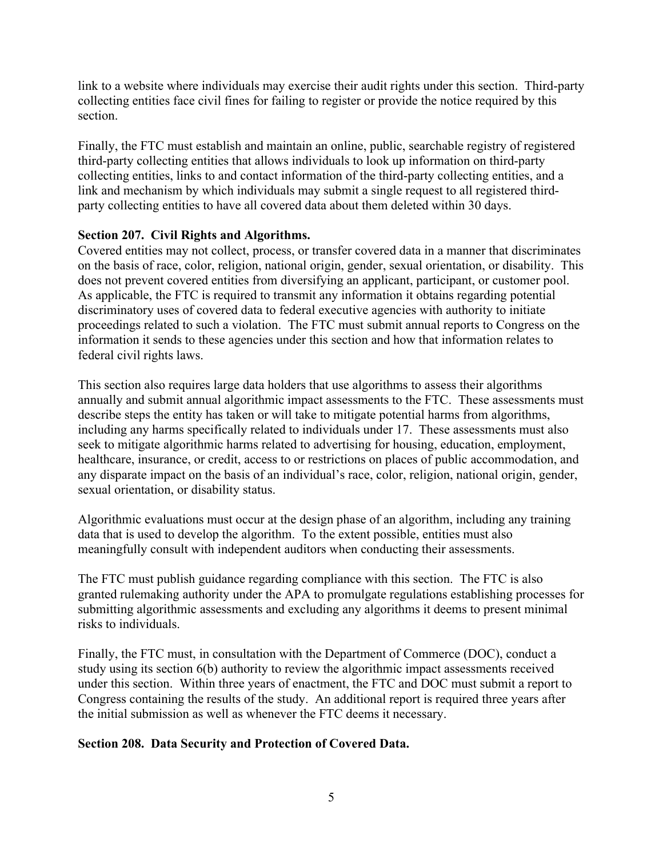link to a website where individuals may exercise their audit rights under this section. Third-party collecting entities face civil fines for failing to register or provide the notice required by this section.

Finally, the FTC must establish and maintain an online, public, searchable registry of registered third-party collecting entities that allows individuals to look up information on third-party collecting entities, links to and contact information of the third-party collecting entities, and a link and mechanism by which individuals may submit a single request to all registered thirdparty collecting entities to have all covered data about them deleted within 30 days.

# **Section 207. Civil Rights and Algorithms.**

Covered entities may not collect, process, or transfer covered data in a manner that discriminates on the basis of race, color, religion, national origin, gender, sexual orientation, or disability. This does not prevent covered entities from diversifying an applicant, participant, or customer pool. As applicable, the FTC is required to transmit any information it obtains regarding potential discriminatory uses of covered data to federal executive agencies with authority to initiate proceedings related to such a violation. The FTC must submit annual reports to Congress on the information it sends to these agencies under this section and how that information relates to federal civil rights laws.

This section also requires large data holders that use algorithms to assess their algorithms annually and submit annual algorithmic impact assessments to the FTC. These assessments must describe steps the entity has taken or will take to mitigate potential harms from algorithms, including any harms specifically related to individuals under 17. These assessments must also seek to mitigate algorithmic harms related to advertising for housing, education, employment, healthcare, insurance, or credit, access to or restrictions on places of public accommodation, and any disparate impact on the basis of an individual's race, color, religion, national origin, gender, sexual orientation, or disability status.

Algorithmic evaluations must occur at the design phase of an algorithm, including any training data that is used to develop the algorithm. To the extent possible, entities must also meaningfully consult with independent auditors when conducting their assessments.

The FTC must publish guidance regarding compliance with this section. The FTC is also granted rulemaking authority under the APA to promulgate regulations establishing processes for submitting algorithmic assessments and excluding any algorithms it deems to present minimal risks to individuals.

Finally, the FTC must, in consultation with the Department of Commerce (DOC), conduct a study using its section 6(b) authority to review the algorithmic impact assessments received under this section. Within three years of enactment, the FTC and DOC must submit a report to Congress containing the results of the study. An additional report is required three years after the initial submission as well as whenever the FTC deems it necessary.

#### **Section 208. Data Security and Protection of Covered Data.**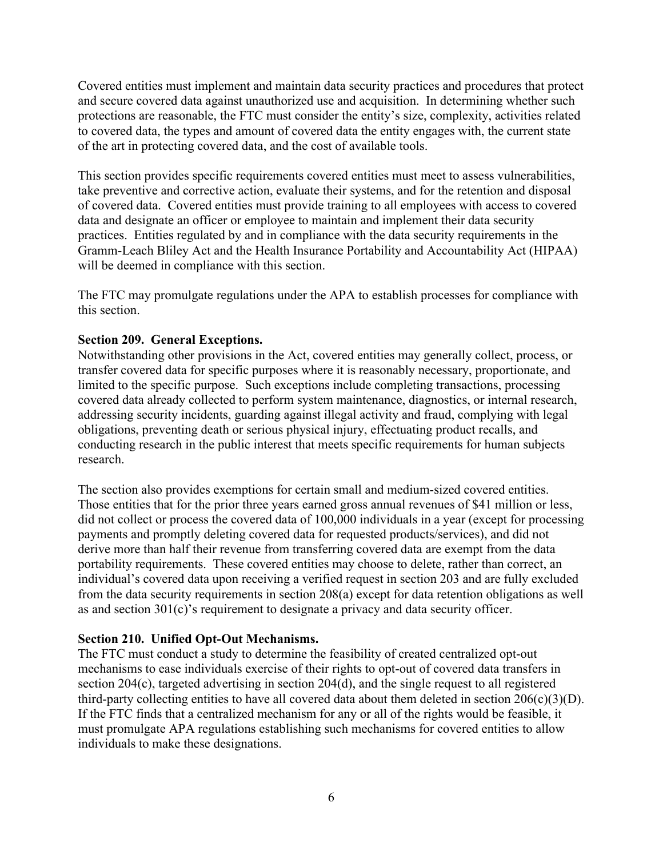Covered entities must implement and maintain data security practices and procedures that protect and secure covered data against unauthorized use and acquisition. In determining whether such protections are reasonable, the FTC must consider the entity's size, complexity, activities related to covered data, the types and amount of covered data the entity engages with, the current state of the art in protecting covered data, and the cost of available tools.

This section provides specific requirements covered entities must meet to assess vulnerabilities, take preventive and corrective action, evaluate their systems, and for the retention and disposal of covered data. Covered entities must provide training to all employees with access to covered data and designate an officer or employee to maintain and implement their data security practices. Entities regulated by and in compliance with the data security requirements in the Gramm-Leach Bliley Act and the Health Insurance Portability and Accountability Act (HIPAA) will be deemed in compliance with this section.

The FTC may promulgate regulations under the APA to establish processes for compliance with this section.

### **Section 209. General Exceptions.**

Notwithstanding other provisions in the Act, covered entities may generally collect, process, or transfer covered data for specific purposes where it is reasonably necessary, proportionate, and limited to the specific purpose. Such exceptions include completing transactions, processing covered data already collected to perform system maintenance, diagnostics, or internal research, addressing security incidents, guarding against illegal activity and fraud, complying with legal obligations, preventing death or serious physical injury, effectuating product recalls, and conducting research in the public interest that meets specific requirements for human subjects research.

The section also provides exemptions for certain small and medium-sized covered entities. Those entities that for the prior three years earned gross annual revenues of \$41 million or less, did not collect or process the covered data of 100,000 individuals in a year (except for processing payments and promptly deleting covered data for requested products/services), and did not derive more than half their revenue from transferring covered data are exempt from the data portability requirements. These covered entities may choose to delete, rather than correct, an individual's covered data upon receiving a verified request in section 203 and are fully excluded from the data security requirements in section 208(a) except for data retention obligations as well as and section 301(c)'s requirement to designate a privacy and data security officer.

#### **Section 210. Unified Opt-Out Mechanisms.**

The FTC must conduct a study to determine the feasibility of created centralized opt-out mechanisms to ease individuals exercise of their rights to opt-out of covered data transfers in section 204(c), targeted advertising in section 204(d), and the single request to all registered third-party collecting entities to have all covered data about them deleted in section  $206(c)(3)(D)$ . If the FTC finds that a centralized mechanism for any or all of the rights would be feasible, it must promulgate APA regulations establishing such mechanisms for covered entities to allow individuals to make these designations.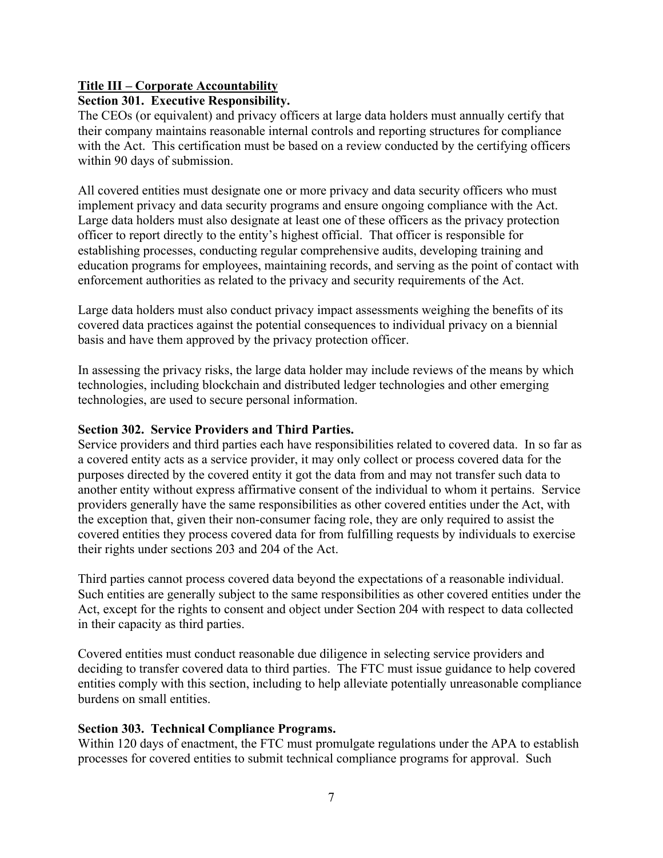# **Title III – Corporate Accountability**

# **Section 301. Executive Responsibility.**

The CEOs (or equivalent) and privacy officers at large data holders must annually certify that their company maintains reasonable internal controls and reporting structures for compliance with the Act. This certification must be based on a review conducted by the certifying officers within 90 days of submission.

All covered entities must designate one or more privacy and data security officers who must implement privacy and data security programs and ensure ongoing compliance with the Act. Large data holders must also designate at least one of these officers as the privacy protection officer to report directly to the entity's highest official. That officer is responsible for establishing processes, conducting regular comprehensive audits, developing training and education programs for employees, maintaining records, and serving as the point of contact with enforcement authorities as related to the privacy and security requirements of the Act.

Large data holders must also conduct privacy impact assessments weighing the benefits of its covered data practices against the potential consequences to individual privacy on a biennial basis and have them approved by the privacy protection officer.

In assessing the privacy risks, the large data holder may include reviews of the means by which technologies, including blockchain and distributed ledger technologies and other emerging technologies, are used to secure personal information.

### **Section 302. Service Providers and Third Parties.**

Service providers and third parties each have responsibilities related to covered data. In so far as a covered entity acts as a service provider, it may only collect or process covered data for the purposes directed by the covered entity it got the data from and may not transfer such data to another entity without express affirmative consent of the individual to whom it pertains. Service providers generally have the same responsibilities as other covered entities under the Act, with the exception that, given their non-consumer facing role, they are only required to assist the covered entities they process covered data for from fulfilling requests by individuals to exercise their rights under sections 203 and 204 of the Act.

Third parties cannot process covered data beyond the expectations of a reasonable individual. Such entities are generally subject to the same responsibilities as other covered entities under the Act, except for the rights to consent and object under Section 204 with respect to data collected in their capacity as third parties.

Covered entities must conduct reasonable due diligence in selecting service providers and deciding to transfer covered data to third parties. The FTC must issue guidance to help covered entities comply with this section, including to help alleviate potentially unreasonable compliance burdens on small entities.

# **Section 303. Technical Compliance Programs.**

Within 120 days of enactment, the FTC must promulgate regulations under the APA to establish processes for covered entities to submit technical compliance programs for approval. Such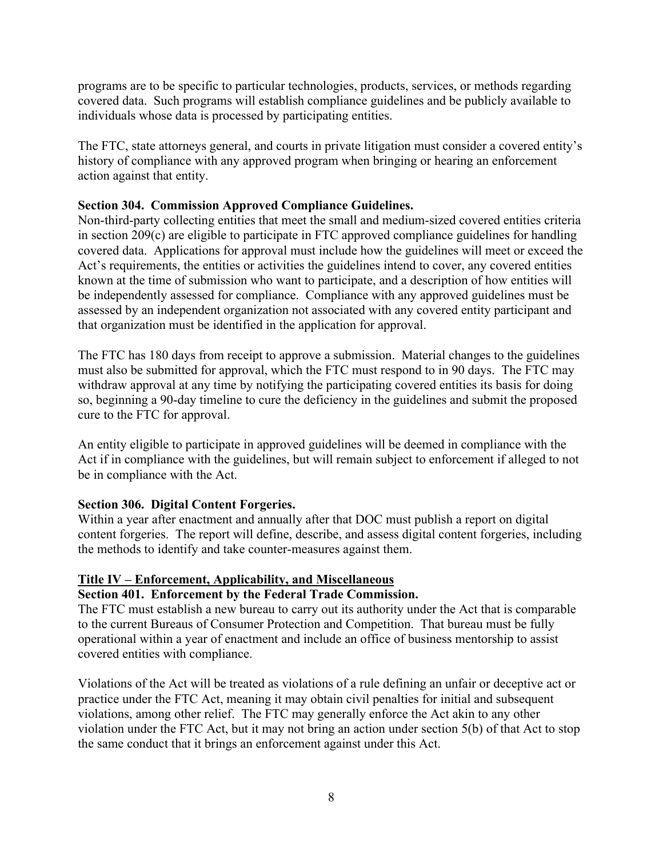programs are to be specific to particular technologies, products, services, or methods regarding covered data. Such programs will establish compliance guidelines and be publicly available to individuals whose data is processed by participating entities.

The FTC, state attorneys general, and courts in private litigation must consider a covered entity's history of compliance with any approved program when bringing or hearing an enforcement action against that entity.

### **Section 304. Commission Approved Compliance Guidelines.**

Non-third-party collecting entities that meet the small and medium-sized covered entities criteria in section 209(c) are eligible to participate in FTC approved compliance guidelines for handling covered data. Applications for approval must include how the guidelines will meet or exceed the Act's requirements, the entities or activities the guidelines intend to cover, any covered entities known at the time of submission who want to participate, and a description of how entities will be independently assessed for compliance. Compliance with any approved guidelines must be assessed by an independent organization not associated with any covered entity participant and that organization must be identified in the application for approval.

The FTC has 180 days from receipt to approve a submission. Material changes to the guidelines must also be submitted for approval, which the FTC must respond to in 90 days. The FTC may withdraw approval at any time by notifying the participating covered entities its basis for doing so, beginning a 90-day timeline to cure the deficiency in the guidelines and submit the proposed cure to the FTC for approval.

An entity eligible to participate in approved guidelines will be deemed in compliance with the Act if in compliance with the guidelines, but will remain subject to enforcement if alleged to not be in compliance with the Act.

#### **Section 306. Digital Content Forgeries.**

Within a year after enactment and annually after that DOC must publish a report on digital content forgeries. The report will define, describe, and assess digital content forgeries, including the methods to identify and take counter-measures against them.

#### **Title IV – Enforcement, Applicability, and Miscellaneous**

#### **Section 401. Enforcement by the Federal Trade Commission.**

The FTC must establish a new bureau to carry out its authority under the Act that is comparable to the current Bureaus of Consumer Protection and Competition. That bureau must be fully operational within a year of enactment and include an office of business mentorship to assist covered entities with compliance.

Violations of the Act will be treated as violations of a rule defining an unfair or deceptive act or practice under the FTC Act, meaning it may obtain civil penalties for initial and subsequent violations, among other relief. The FTC may generally enforce the Act akin to any other violation under the FTC Act, but it may not bring an action under section 5(b) of that Act to stop the same conduct that it brings an enforcement against under this Act.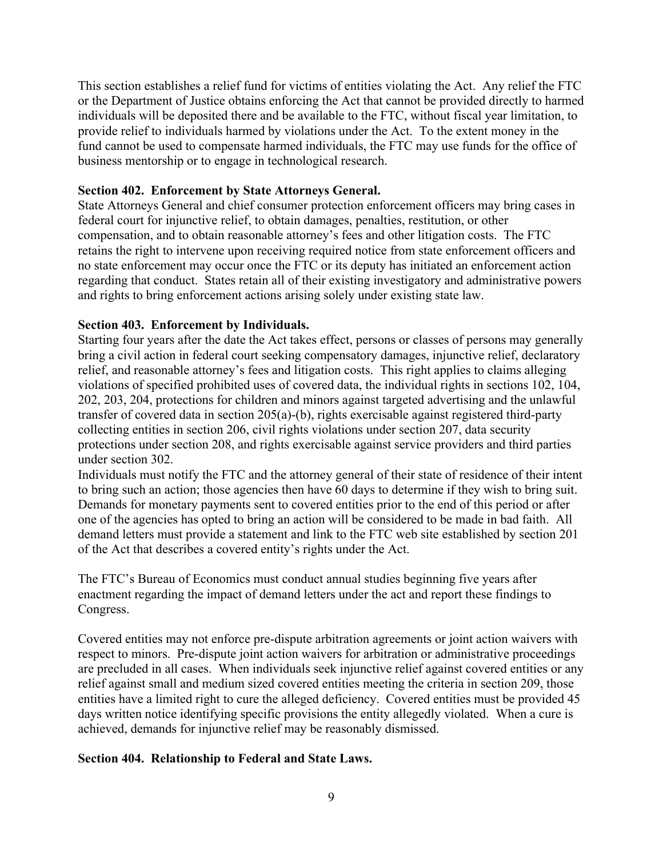This section establishes a relief fund for victims of entities violating the Act. Any relief the FTC or the Department of Justice obtains enforcing the Act that cannot be provided directly to harmed individuals will be deposited there and be available to the FTC, without fiscal year limitation, to provide relief to individuals harmed by violations under the Act. To the extent money in the fund cannot be used to compensate harmed individuals, the FTC may use funds for the office of business mentorship or to engage in technological research.

### **Section 402. Enforcement by State Attorneys General.**

State Attorneys General and chief consumer protection enforcement officers may bring cases in federal court for injunctive relief, to obtain damages, penalties, restitution, or other compensation, and to obtain reasonable attorney's fees and other litigation costs. The FTC retains the right to intervene upon receiving required notice from state enforcement officers and no state enforcement may occur once the FTC or its deputy has initiated an enforcement action regarding that conduct. States retain all of their existing investigatory and administrative powers and rights to bring enforcement actions arising solely under existing state law.

### **Section 403. Enforcement by Individuals.**

Starting four years after the date the Act takes effect, persons or classes of persons may generally bring a civil action in federal court seeking compensatory damages, injunctive relief, declaratory relief, and reasonable attorney's fees and litigation costs. This right applies to claims alleging violations of specified prohibited uses of covered data, the individual rights in sections 102, 104, 202, 203, 204, protections for children and minors against targeted advertising and the unlawful transfer of covered data in section 205(a)-(b), rights exercisable against registered third-party collecting entities in section 206, civil rights violations under section 207, data security protections under section 208, and rights exercisable against service providers and third parties under section 302.

Individuals must notify the FTC and the attorney general of their state of residence of their intent to bring such an action; those agencies then have 60 days to determine if they wish to bring suit. Demands for monetary payments sent to covered entities prior to the end of this period or after one of the agencies has opted to bring an action will be considered to be made in bad faith. All demand letters must provide a statement and link to the FTC web site established by section 201 of the Act that describes a covered entity's rights under the Act.

The FTC's Bureau of Economics must conduct annual studies beginning five years after enactment regarding the impact of demand letters under the act and report these findings to Congress.

Covered entities may not enforce pre-dispute arbitration agreements or joint action waivers with respect to minors. Pre-dispute joint action waivers for arbitration or administrative proceedings are precluded in all cases. When individuals seek injunctive relief against covered entities or any relief against small and medium sized covered entities meeting the criteria in section 209, those entities have a limited right to cure the alleged deficiency. Covered entities must be provided 45 days written notice identifying specific provisions the entity allegedly violated. When a cure is achieved, demands for injunctive relief may be reasonably dismissed.

#### **Section 404. Relationship to Federal and State Laws.**